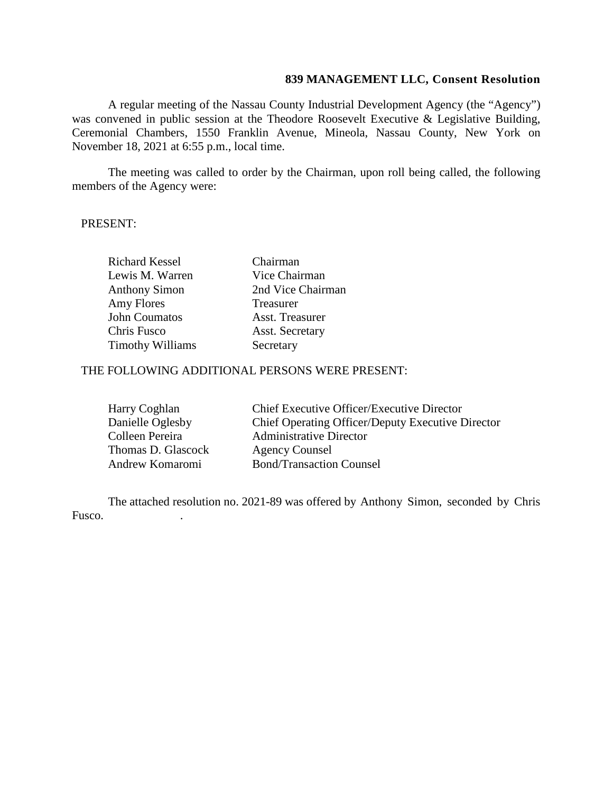## **839 MANAGEMENT LLC, Consent Resolution**

A regular meeting of the Nassau County Industrial Development Agency (the "Agency") was convened in public session at the Theodore Roosevelt Executive & Legislative Building, Ceremonial Chambers, 1550 Franklin Avenue, Mineola, Nassau County, New York on November 18, 2021 at 6:55 p.m., local time.

The meeting was called to order by the Chairman, upon roll being called, the following members of the Agency were:

## PRESENT:

| <b>Richard Kessel</b>   | Chairman               |
|-------------------------|------------------------|
| Lewis M. Warren         | Vice Chairman          |
| <b>Anthony Simon</b>    | 2nd Vice Chairman      |
| Amy Flores              | Treasurer              |
| John Coumatos           | Asst. Treasurer        |
| Chris Fusco             | <b>Asst. Secretary</b> |
| <b>Timothy Williams</b> | Secretary              |

## THE FOLLOWING ADDITIONAL PERSONS WERE PRESENT:

| Harry Coghlan      | Chief Executive Officer/Executive Director        |
|--------------------|---------------------------------------------------|
| Danielle Oglesby   | Chief Operating Officer/Deputy Executive Director |
| Colleen Pereira    | <b>Administrative Director</b>                    |
| Thomas D. Glascock | <b>Agency Counsel</b>                             |
| Andrew Komaromi    | <b>Bond/Transaction Counsel</b>                   |

The attached resolution no. 2021-89 was offered by Anthony Simon, seconded by Chris Fusco. .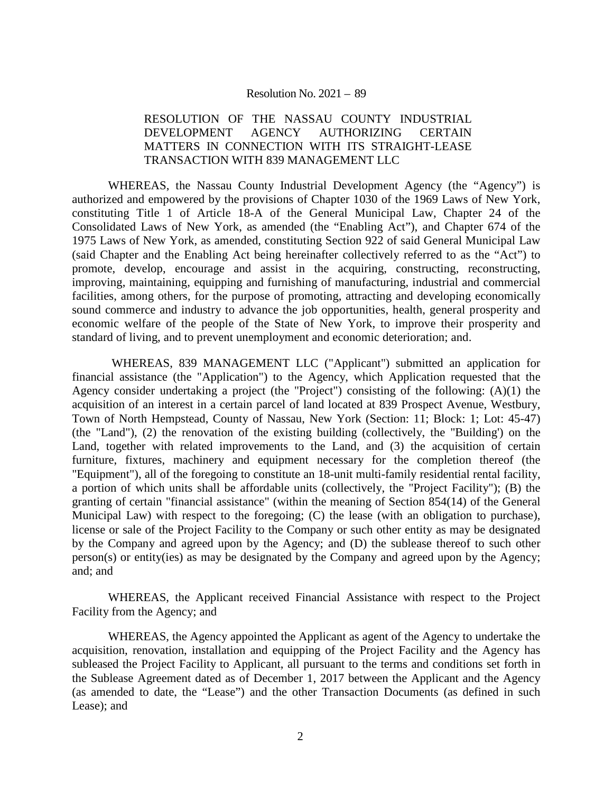#### Resolution No. 2021 – 89

## RESOLUTION OF THE NASSAU COUNTY INDUSTRIAL DEVELOPMENT AGENCY AUTHORIZING CERTAIN MATTERS IN CONNECTION WITH ITS STRAIGHT-LEASE TRANSACTION WITH 839 MANAGEMENT LLC

WHEREAS, the Nassau County Industrial Development Agency (the "Agency") is authorized and empowered by the provisions of Chapter 1030 of the 1969 Laws of New York, constituting Title 1 of Article 18-A of the General Municipal Law, Chapter 24 of the Consolidated Laws of New York, as amended (the "Enabling Act"), and Chapter 674 of the 1975 Laws of New York, as amended, constituting Section 922 of said General Municipal Law (said Chapter and the Enabling Act being hereinafter collectively referred to as the "Act") to promote, develop, encourage and assist in the acquiring, constructing, reconstructing, improving, maintaining, equipping and furnishing of manufacturing, industrial and commercial facilities, among others, for the purpose of promoting, attracting and developing economically sound commerce and industry to advance the job opportunities, health, general prosperity and economic welfare of the people of the State of New York, to improve their prosperity and standard of living, and to prevent unemployment and economic deterioration; and.

WHEREAS, 839 MANAGEMENT LLC ("Applicant") submitted an application for financial assistance (the "Application") to the Agency, which Application requested that the Agency consider undertaking a project (the "Project") consisting of the following: (A)(1) the acquisition of an interest in a certain parcel of land located at 839 Prospect Avenue, Westbury, Town of North Hempstead, County of Nassau, New York (Section: 11; Block: 1; Lot: 45-47) (the "Land"), (2) the renovation of the existing building (collectively, the "Building') on the Land, together with related improvements to the Land, and (3) the acquisition of certain furniture, fixtures, machinery and equipment necessary for the completion thereof (the "Equipment"), all of the foregoing to constitute an 18-unit multi-family residential rental facility, a portion of which units shall be affordable units (collectively, the "Project Facility"); (B) the granting of certain "financial assistance" (within the meaning of Section 854(14) of the General Municipal Law) with respect to the foregoing; (C) the lease (with an obligation to purchase), license or sale of the Project Facility to the Company or such other entity as may be designated by the Company and agreed upon by the Agency; and (D) the sublease thereof to such other person(s) or entity(ies) as may be designated by the Company and agreed upon by the Agency; and; and

WHEREAS, the Applicant received Financial Assistance with respect to the Project Facility from the Agency; and

WHEREAS, the Agency appointed the Applicant as agent of the Agency to undertake the acquisition, renovation, installation and equipping of the Project Facility and the Agency has subleased the Project Facility to Applicant, all pursuant to the terms and conditions set forth in the Sublease Agreement dated as of December 1, 2017 between the Applicant and the Agency (as amended to date, the "Lease") and the other Transaction Documents (as defined in such Lease); and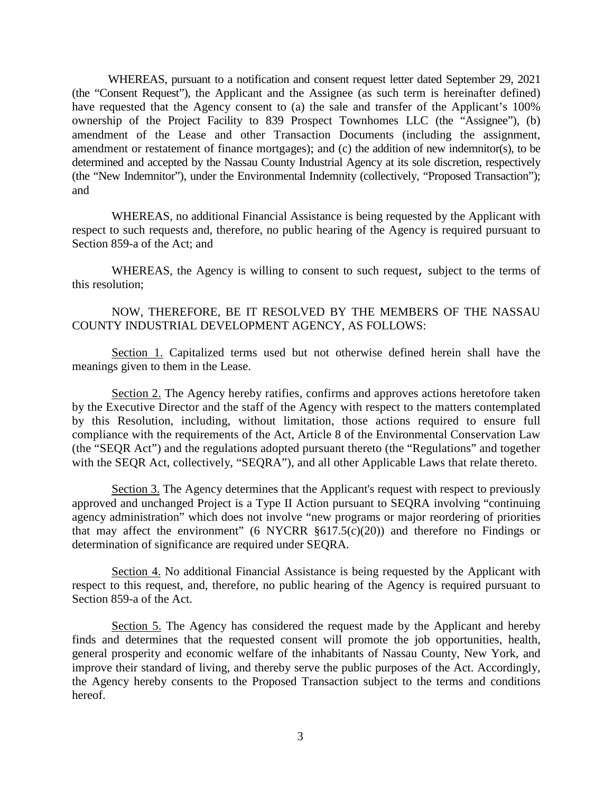WHEREAS, pursuant to a notification and consent request letter dated September 29, 2021 (the "Consent Request"), the Applicant and the Assignee (as such term is hereinafter defined) have requested that the Agency consent to (a) the sale and transfer of the Applicant's 100% ownership of the Project Facility to 839 Prospect Townhomes LLC (the "Assignee"), (b) amendment of the Lease and other Transaction Documents (including the assignment, amendment or restatement of finance mortgages); and (c) the addition of new indemnitor(s), to be determined and accepted by the Nassau County Industrial Agency at its sole discretion, respectively (the "New Indemnitor"), under the Environmental Indemnity (collectively, "Proposed Transaction"); and

WHEREAS, no additional Financial Assistance is being requested by the Applicant with respect to such requests and, therefore, no public hearing of the Agency is required pursuant to Section 859-a of the Act; and

WHEREAS, the Agency is willing to consent to such request, subject to the terms of this resolution;

## NOW, THEREFORE, BE IT RESOLVED BY THE MEMBERS OF THE NASSAU COUNTY INDUSTRIAL DEVELOPMENT AGENCY, AS FOLLOWS:

Section 1. Capitalized terms used but not otherwise defined herein shall have the meanings given to them in the Lease.

Section 2. The Agency hereby ratifies, confirms and approves actions heretofore taken by the Executive Director and the staff of the Agency with respect to the matters contemplated by this Resolution, including, without limitation, those actions required to ensure full compliance with the requirements of the Act, Article 8 of the Environmental Conservation Law (the "SEQR Act") and the regulations adopted pursuant thereto (the "Regulations" and together with the SEQR Act, collectively, "SEQRA"), and all other Applicable Laws that relate thereto.

Section 3. The Agency determines that the Applicant's request with respect to previously approved and unchanged Project is a Type II Action pursuant to SEQRA involving "continuing agency administration" which does not involve "new programs or major reordering of priorities that may affect the environment" (6 NYCRR §617.5(c)(20)) and therefore no Findings or determination of significance are required under SEQRA.

Section 4. No additional Financial Assistance is being requested by the Applicant with respect to this request, and, therefore, no public hearing of the Agency is required pursuant to Section 859-a of the Act.

Section 5. The Agency has considered the request made by the Applicant and hereby finds and determines that the requested consent will promote the job opportunities, health, general prosperity and economic welfare of the inhabitants of Nassau County, New York, and improve their standard of living, and thereby serve the public purposes of the Act. Accordingly, the Agency hereby consents to the Proposed Transaction subject to the terms and conditions hereof.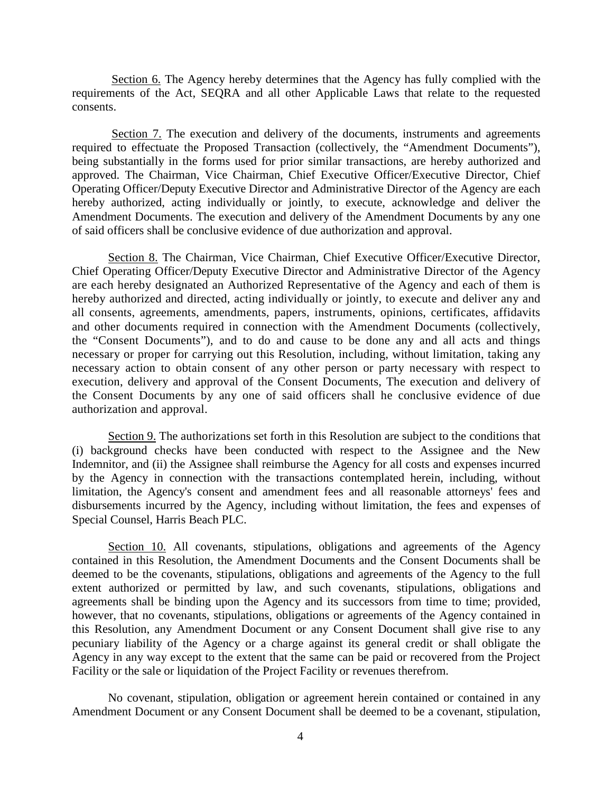Section 6. The Agency hereby determines that the Agency has fully complied with the requirements of the Act, SEQRA and all other Applicable Laws that relate to the requested consents.

Section 7. The execution and delivery of the documents, instruments and agreements required to effectuate the Proposed Transaction (collectively, the "Amendment Documents"), being substantially in the forms used for prior similar transactions, are hereby authorized and approved. The Chairman, Vice Chairman, Chief Executive Officer/Executive Director, Chief Operating Officer/Deputy Executive Director and Administrative Director of the Agency are each hereby authorized, acting individually or jointly, to execute, acknowledge and deliver the Amendment Documents. The execution and delivery of the Amendment Documents by any one of said officers shall be conclusive evidence of due authorization and approval.

Section 8. The Chairman, Vice Chairman, Chief Executive Officer/Executive Director, Chief Operating Officer/Deputy Executive Director and Administrative Director of the Agency are each hereby designated an Authorized Representative of the Agency and each of them is hereby authorized and directed, acting individually or jointly, to execute and deliver any and all consents, agreements, amendments, papers, instruments, opinions, certificates, affidavits and other documents required in connection with the Amendment Documents (collectively, the "Consent Documents"), and to do and cause to be done any and all acts and things necessary or proper for carrying out this Resolution, including, without limitation, taking any necessary action to obtain consent of any other person or party necessary with respect to execution, delivery and approval of the Consent Documents, The execution and delivery of the Consent Documents by any one of said officers shall he conclusive evidence of due authorization and approval.

Section 9. The authorizations set forth in this Resolution are subject to the conditions that (i) background checks have been conducted with respect to the Assignee and the New Indemnitor, and (ii) the Assignee shall reimburse the Agency for all costs and expenses incurred by the Agency in connection with the transactions contemplated herein, including, without limitation, the Agency's consent and amendment fees and all reasonable attorneys' fees and disbursements incurred by the Agency, including without limitation, the fees and expenses of Special Counsel, Harris Beach PLC.

Section 10. All covenants, stipulations, obligations and agreements of the Agency contained in this Resolution, the Amendment Documents and the Consent Documents shall be deemed to be the covenants, stipulations, obligations and agreements of the Agency to the full extent authorized or permitted by law, and such covenants, stipulations, obligations and agreements shall be binding upon the Agency and its successors from time to time; provided, however, that no covenants, stipulations, obligations or agreements of the Agency contained in this Resolution, any Amendment Document or any Consent Document shall give rise to any pecuniary liability of the Agency or a charge against its general credit or shall obligate the Agency in any way except to the extent that the same can be paid or recovered from the Project Facility or the sale or liquidation of the Project Facility or revenues therefrom.

No covenant, stipulation, obligation or agreement herein contained or contained in any Amendment Document or any Consent Document shall be deemed to be a covenant, stipulation,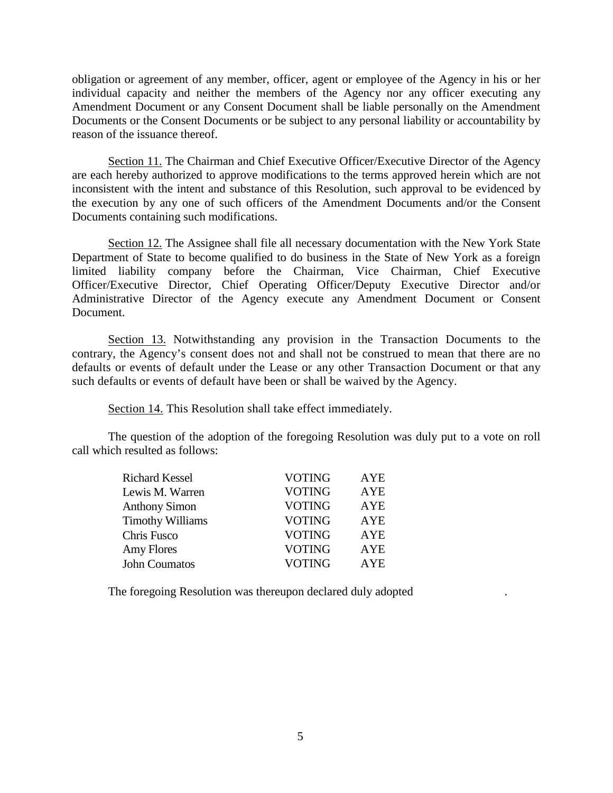obligation or agreement of any member, officer, agent or employee of the Agency in his or her individual capacity and neither the members of the Agency nor any officer executing any Amendment Document or any Consent Document shall be liable personally on the Amendment Documents or the Consent Documents or be subject to any personal liability or accountability by reason of the issuance thereof.

Section 11. The Chairman and Chief Executive Officer/Executive Director of the Agency are each hereby authorized to approve modifications to the terms approved herein which are not inconsistent with the intent and substance of this Resolution, such approval to be evidenced by the execution by any one of such officers of the Amendment Documents and/or the Consent Documents containing such modifications.

Section 12. The Assignee shall file all necessary documentation with the New York State Department of State to become qualified to do business in the State of New York as a foreign limited liability company before the Chairman, Vice Chairman, Chief Executive Officer/Executive Director, Chief Operating Officer/Deputy Executive Director and/or Administrative Director of the Agency execute any Amendment Document or Consent Document.

Section 13. Notwithstanding any provision in the Transaction Documents to the contrary, the Agency's consent does not and shall not be construed to mean that there are no defaults or events of default under the Lease or any other Transaction Document or that any such defaults or events of default have been or shall be waived by the Agency.

Section 14. This Resolution shall take effect immediately.

The question of the adoption of the foregoing Resolution was duly put to a vote on roll call which resulted as follows:

| <b>Richard Kessel</b>   | <b>VOTING</b> | AYE        |
|-------------------------|---------------|------------|
| Lewis M. Warren         | <b>VOTING</b> | <b>AYE</b> |
| <b>Anthony Simon</b>    | <b>VOTING</b> | <b>AYE</b> |
| <b>Timothy Williams</b> | <b>VOTING</b> | AYE        |
| Chris Fusco             | <b>VOTING</b> | <b>AYE</b> |
| Amy Flores              | <b>VOTING</b> | <b>AYE</b> |
| <b>John Coumatos</b>    | <b>VOTING</b> | <b>AYE</b> |

The foregoing Resolution was thereupon declared duly adopted .